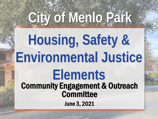# **City of Menlo Park**

#### Community Engagement & Outreach **Committee** June 3, 2021 **Housing, Safety & Environmental Justice Elements**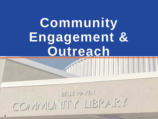### **Community Engagement & Outreach**

#### BELLE HAVEN COMMUNITY LIBRARY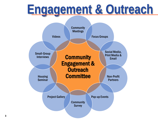#### **Engagement & Outreach**

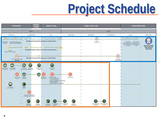### **Project Schedule**

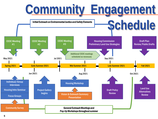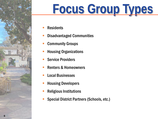![](_page_5_Picture_0.jpeg)

## **Focus Group Types**

- Residents
- Disadvantaged Communities
- Community Groups
- Housing Organizations
- Service Providers
- Renters & Homeowners
- Local Businesses
- Housing Developers
- Religious Institutions
- Special District Partners (Schools, etc.)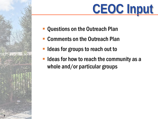![](_page_6_Picture_0.jpeg)

- Questions on the Outreach Plan
- Comments on the Outreach Plan
- Ideas for groups to reach out to

**7**

 Ideas for how to reach the community as a whole and/or particular groups